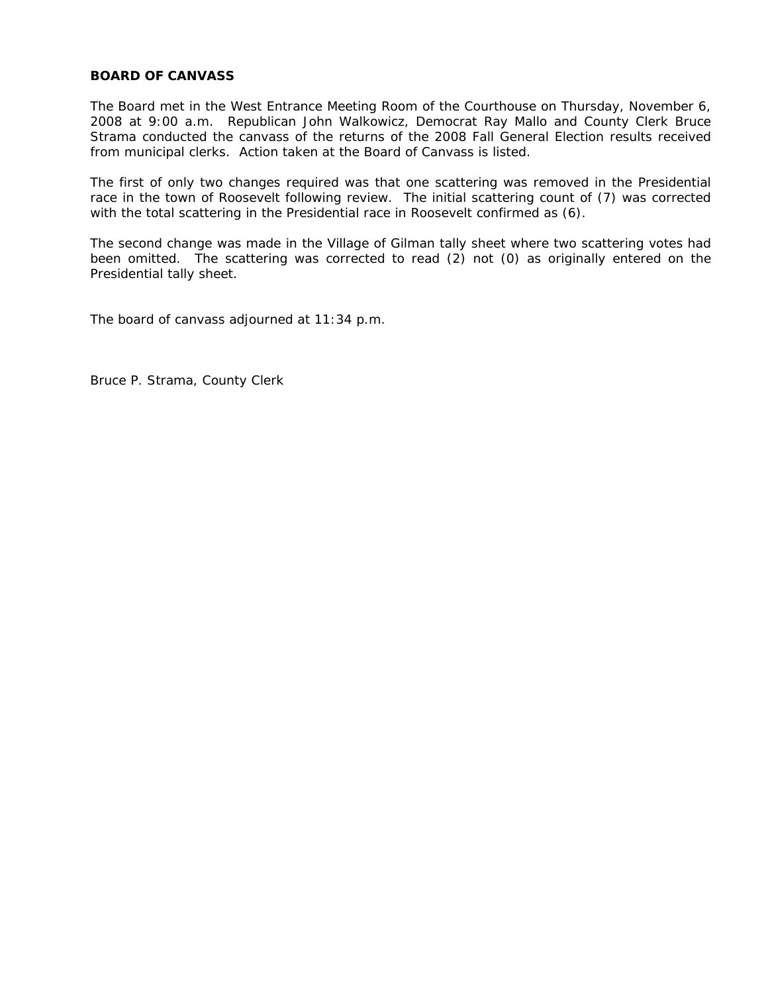The Board met in the West Entrance Meeting Room of the Courthouse on Thursday, November 6, 2008 at 9:00 a.m. Republican John Walkowicz, Democrat Ray Mallo and County Clerk Bruce Strama conducted the canvass of the returns of the 2008 Fall General Election results received from municipal clerks. Action taken at the Board of Canvass is listed.

The first of only two changes required was that one scattering was removed in the Presidential race in the town of Roosevelt following review. The initial scattering count of (7) was corrected with the total scattering in the Presidential race in Roosevelt confirmed as (6).

The second change was made in the Village of Gilman tally sheet where two scattering votes had been omitted. The scattering was corrected to read (2) not (0) as originally entered on the Presidential tally sheet.

The board of canvass adjourned at 11:34 p.m.

Bruce P. Strama, County Clerk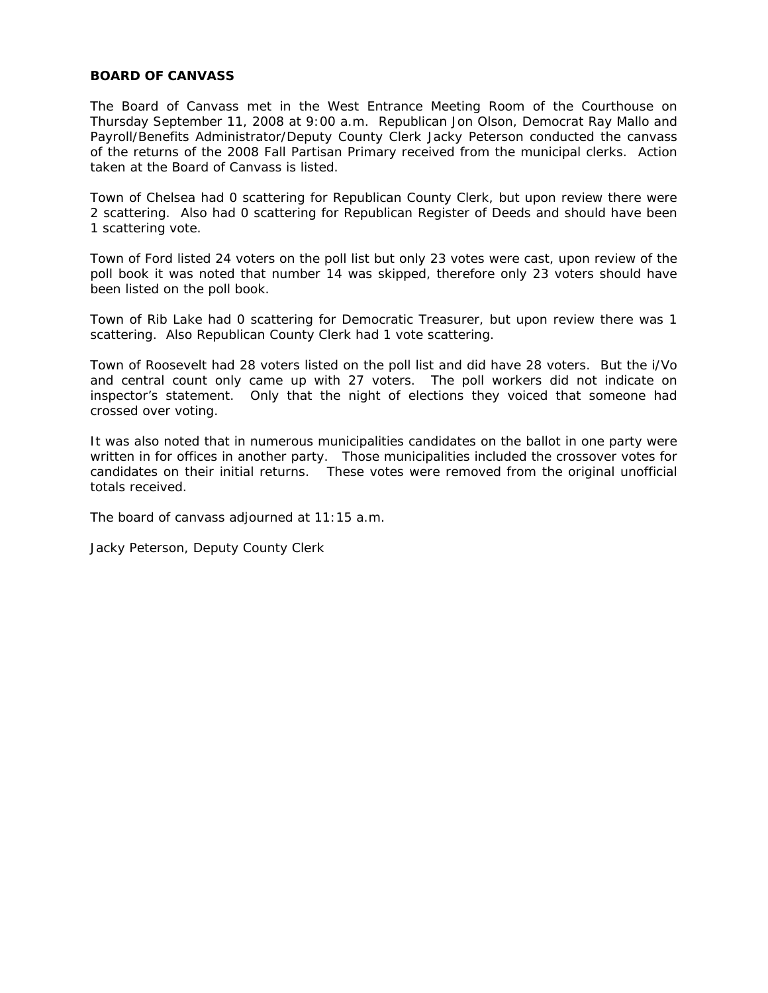The Board of Canvass met in the West Entrance Meeting Room of the Courthouse on Thursday September 11, 2008 at 9:00 a.m. Republican Jon Olson, Democrat Ray Mallo and Payroll/Benefits Administrator/Deputy County Clerk Jacky Peterson conducted the canvass of the returns of the 2008 Fall Partisan Primary received from the municipal clerks. Action taken at the Board of Canvass is listed.

Town of Chelsea had 0 scattering for Republican County Clerk, but upon review there were 2 scattering. Also had 0 scattering for Republican Register of Deeds and should have been 1 scattering vote.

Town of Ford listed 24 voters on the poll list but only 23 votes were cast, upon review of the poll book it was noted that number 14 was skipped, therefore only 23 voters should have been listed on the poll book.

Town of Rib Lake had 0 scattering for Democratic Treasurer, but upon review there was 1 scattering. Also Republican County Clerk had 1 vote scattering.

Town of Roosevelt had 28 voters listed on the poll list and did have 28 voters. But the i/Vo and central count only came up with 27 voters. The poll workers did not indicate on inspector's statement. Only that the night of elections they voiced that someone had crossed over voting.

It was also noted that in numerous municipalities candidates on the ballot in one party were written in for offices in another party. Those municipalities included the crossover votes for candidates on their initial returns. These votes were removed from the original unofficial totals received.

The board of canvass adjourned at 11:15 a.m.

Jacky Peterson, Deputy County Clerk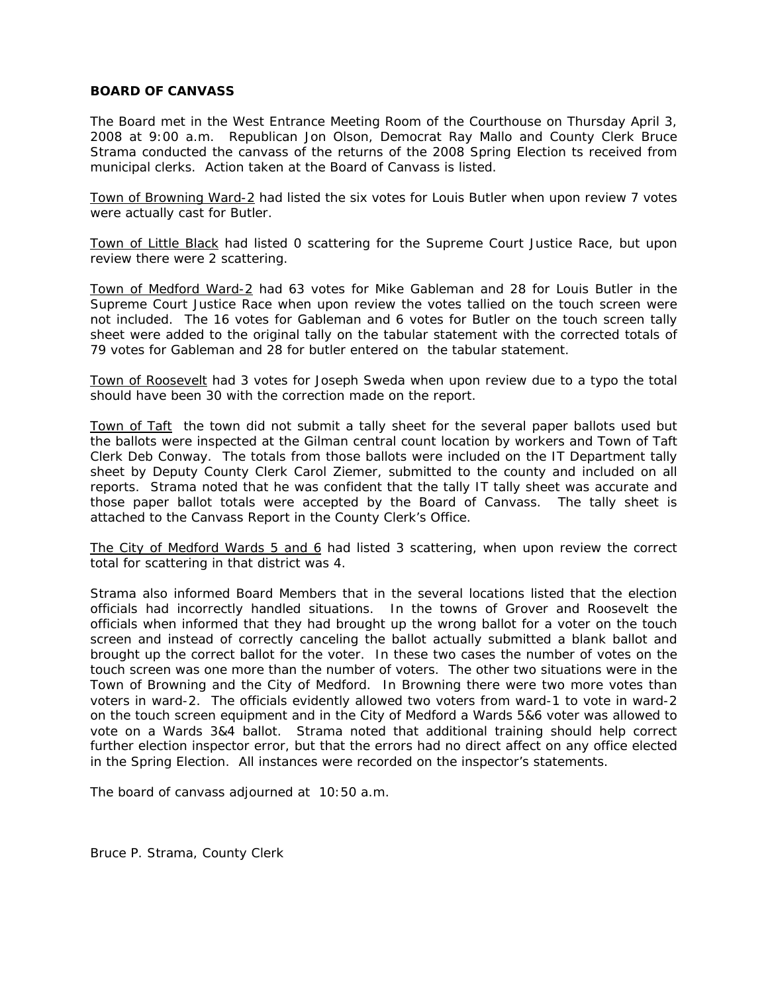The Board met in the West Entrance Meeting Room of the Courthouse on Thursday April 3, 2008 at 9:00 a.m. Republican Jon Olson, Democrat Ray Mallo and County Clerk Bruce Strama conducted the canvass of the returns of the 2008 Spring Election ts received from municipal clerks. Action taken at the Board of Canvass is listed.

Town of Browning Ward-2 had listed the six votes for Louis Butler when upon review 7 votes were actually cast for Butler.

Town of Little Black had listed 0 scattering for the Supreme Court Justice Race, but upon review there were 2 scattering.

Town of Medford Ward-2 had 63 votes for Mike Gableman and 28 for Louis Butler in the Supreme Court Justice Race when upon review the votes tallied on the touch screen were not included. The 16 votes for Gableman and 6 votes for Butler on the touch screen tally sheet were added to the original tally on the tabular statement with the corrected totals of 79 votes for Gableman and 28 for butler entered on the tabular statement.

Town of Roosevelt had 3 votes for Joseph Sweda when upon review due to a typo the total should have been 30 with the correction made on the report.

Town of Taft the town did not submit a tally sheet for the several paper ballots used but the ballots were inspected at the Gilman central count location by workers and Town of Taft Clerk Deb Conway. The totals from those ballots were included on the IT Department tally sheet by Deputy County Clerk Carol Ziemer, submitted to the county and included on all reports. Strama noted that he was confident that the tally IT tally sheet was accurate and those paper ballot totals were accepted by the Board of Canvass. The tally sheet is attached to the Canvass Report in the County Clerk's Office.

The City of Medford Wards 5 and 6 had listed 3 scattering, when upon review the correct total for scattering in that district was 4.

Strama also informed Board Members that in the several locations listed that the election officials had incorrectly handled situations. In the towns of Grover and Roosevelt the officials when informed that they had brought up the wrong ballot for a voter on the touch screen and instead of correctly canceling the ballot actually submitted a blank ballot and brought up the correct ballot for the voter. In these two cases the number of votes on the touch screen was one more than the number of voters. The other two situations were in the Town of Browning and the City of Medford. In Browning there were two more votes than voters in ward-2. The officials evidently allowed two voters from ward-1 to vote in ward-2 on the touch screen equipment and in the City of Medford a Wards 5&6 voter was allowed to vote on a Wards 3&4 ballot. Strama noted that additional training should help correct further election inspector error, but that the errors had no direct affect on any office elected in the Spring Election. All instances were recorded on the inspector's statements.

The board of canvass adjourned at 10:50 a.m.

Bruce P. Strama, County Clerk